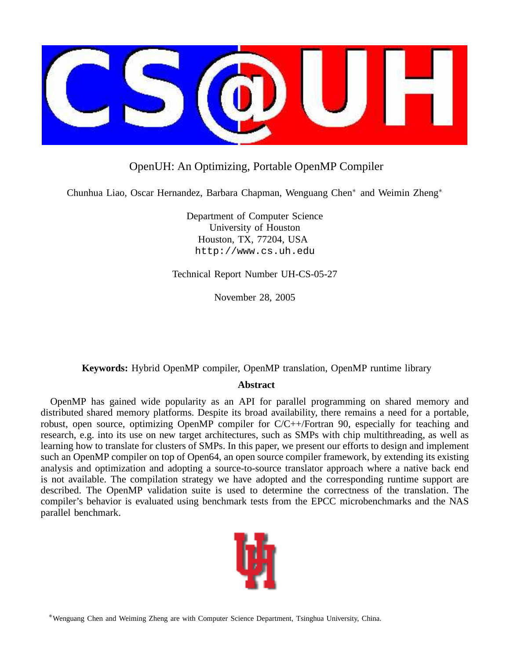

## OpenUH: An Optimizing, Portable OpenMP Compiler

Chunhua Liao, Oscar Hernandez, Barbara Chapman, Wenguang Chen<sup>∗</sup> and Weimin Zheng<sup>∗</sup>

Department of Computer Science University of Houston Houston, TX, 77204, USA http://www.cs.uh.edu

Technical Report Number UH-CS-05-27

November 28, 2005

## **Keywords:** Hybrid OpenMP compiler, OpenMP translation, OpenMP runtime library

## **Abstract**

OpenMP has gained wide popularity as an API for parallel programming on shared memory and distributed shared memory platforms. Despite its broad availability, there remains a need for a portable, robust, open source, optimizing OpenMP compiler for C/C++/Fortran 90, especially for teaching and research, e.g. into its use on new target architectures, such as SMPs with chip multithreading, as well as learning how to translate for clusters of SMPs. In this paper, we present our efforts to design and implement such an OpenMP compiler on top of Open64, an open source compiler framework, by extending its existing analysis and optimization and adopting a source-to-source translator approach where a native back end is not available. The compilation strategy we have adopted and the corresponding runtime support are described. The OpenMP validation suite is used to determine the correctness of the translation. The compiler's behavior is evaluated using benchmark tests from the EPCC microbenchmarks and the NAS parallel benchmark.



<sup>∗</sup>Wenguang Chen and Weiming Zheng are with Computer Science Department, Tsinghua University, China.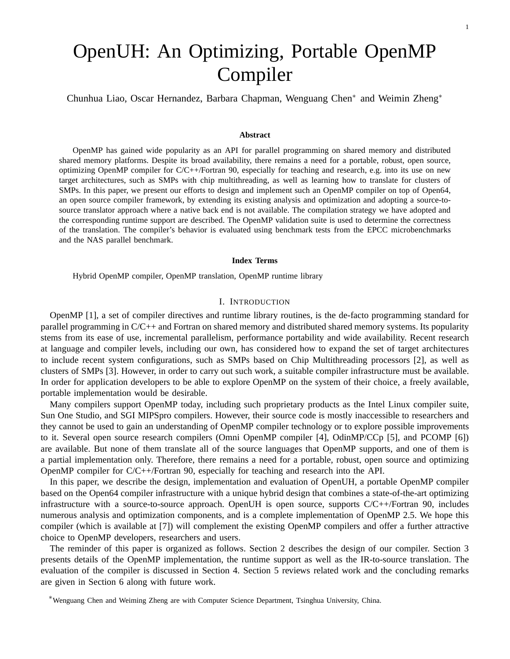# OpenUH: An Optimizing, Portable OpenMP Compiler

Chunhua Liao, Oscar Hernandez, Barbara Chapman, Wenguang Chen<sup>∗</sup> and Weimin Zheng<sup>∗</sup>

#### **Abstract**

OpenMP has gained wide popularity as an API for parallel programming on shared memory and distributed shared memory platforms. Despite its broad availability, there remains a need for a portable, robust, open source, optimizing OpenMP compiler for C/C++/Fortran 90, especially for teaching and research, e.g. into its use on new target architectures, such as SMPs with chip multithreading, as well as learning how to translate for clusters of SMPs. In this paper, we present our efforts to design and implement such an OpenMP compiler on top of Open64, an open source compiler framework, by extending its existing analysis and optimization and adopting a source-tosource translator approach where a native back end is not available. The compilation strategy we have adopted and the corresponding runtime support are described. The OpenMP validation suite is used to determine the correctness of the translation. The compiler's behavior is evaluated using benchmark tests from the EPCC microbenchmarks and the NAS parallel benchmark.

#### **Index Terms**

Hybrid OpenMP compiler, OpenMP translation, OpenMP runtime library

#### I. INTRODUCTION

OpenMP [1], a set of compiler directives and runtime library routines, is the de-facto programming standard for parallel programming in C/C++ and Fortran on shared memory and distributed shared memory systems. Its popularity stems from its ease of use, incremental parallelism, performance portability and wide availability. Recent research at language and compiler levels, including our own, has considered how to expand the set of target architectures to include recent system configurations, such as SMPs based on Chip Multithreading processors [2], as well as clusters of SMPs [3]. However, in order to carry out such work, a suitable compiler infrastructure must be available. In order for application developers to be able to explore OpenMP on the system of their choice, a freely available, portable implementation would be desirable.

Many compilers support OpenMP today, including such proprietary products as the Intel Linux compiler suite, Sun One Studio, and SGI MIPSpro compilers. However, their source code is mostly inaccessible to researchers and they cannot be used to gain an understanding of OpenMP compiler technology or to explore possible improvements to it. Several open source research compilers (Omni OpenMP compiler [4], OdinMP/CCp [5], and PCOMP [6]) are available. But none of them translate all of the source languages that OpenMP supports, and one of them is a partial implementation only. Therefore, there remains a need for a portable, robust, open source and optimizing OpenMP compiler for C/C++/Fortran 90, especially for teaching and research into the API.

In this paper, we describe the design, implementation and evaluation of OpenUH, a portable OpenMP compiler based on the Open64 compiler infrastructure with a unique hybrid design that combines a state-of-the-art optimizing infrastructure with a source-to-source approach. OpenUH is open source, supports C/C++/Fortran 90, includes numerous analysis and optimization components, and is a complete implementation of OpenMP 2.5. We hope this compiler (which is available at [7]) will complement the existing OpenMP compilers and offer a further attractive choice to OpenMP developers, researchers and users.

The reminder of this paper is organized as follows. Section 2 describes the design of our compiler. Section 3 presents details of the OpenMP implementation, the runtime support as well as the IR-to-source translation. The evaluation of the compiler is discussed in Section 4. Section 5 reviews related work and the concluding remarks are given in Section 6 along with future work.

<sup>∗</sup>Wenguang Chen and Weiming Zheng are with Computer Science Department, Tsinghua University, China.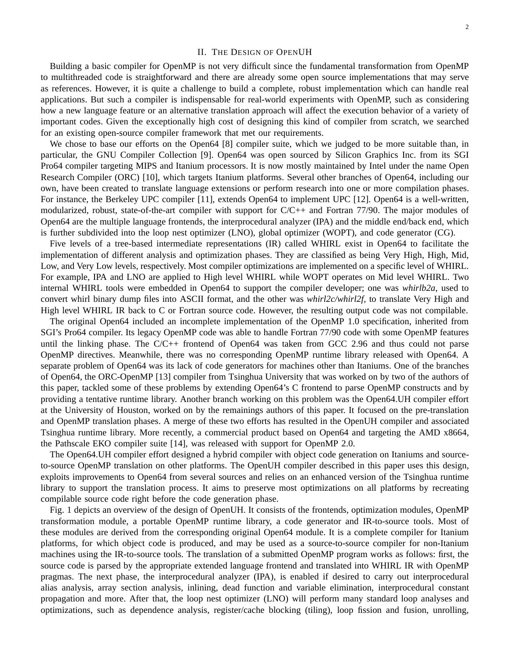#### II. THE DESIGN OF OPENUH

Building a basic compiler for OpenMP is not very difficult since the fundamental transformation from OpenMP to multithreaded code is straightforward and there are already some open source implementations that may serve as references. However, it is quite a challenge to build a complete, robust implementation which can handle real applications. But such a compiler is indispensable for real-world experiments with OpenMP, such as considering how a new language feature or an alternative translation approach will affect the execution behavior of a variety of important codes. Given the exceptionally high cost of designing this kind of compiler from scratch, we searched for an existing open-source compiler framework that met our requirements.

We chose to base our efforts on the Open64 [8] compiler suite, which we judged to be more suitable than, in particular, the GNU Compiler Collection [9]. Open64 was open sourced by Silicon Graphics Inc. from its SGI Pro64 compiler targeting MIPS and Itanium processors. It is now mostly maintained by Intel under the name Open Research Compiler (ORC) [10], which targets Itanium platforms. Several other branches of Open64, including our own, have been created to translate language extensions or perform research into one or more compilation phases. For instance, the Berkeley UPC compiler [11], extends Open64 to implement UPC [12]. Open64 is a well-written, modularized, robust, state-of-the-art compiler with support for C/C++ and Fortran 77/90. The major modules of Open64 are the multiple language frontends, the interprocedural analyzer (IPA) and the middle end/back end, which is further subdivided into the loop nest optimizer (LNO), global optimizer (WOPT), and code generator (CG).

Five levels of a tree-based intermediate representations (IR) called WHIRL exist in Open64 to facilitate the implementation of different analysis and optimization phases. They are classified as being Very High, High, Mid, Low, and Very Low levels, respectively. Most compiler optimizations are implemented on a specific level of WHIRL. For example, IPA and LNO are applied to High level WHIRL while WOPT operates on Mid level WHIRL. Two internal WHIRL tools were embedded in Open64 to support the compiler developer; one was *whirlb2a*, used to convert whirl binary dump files into ASCII format, and the other was *whirl2c/whirl2f*, to translate Very High and High level WHIRL IR back to C or Fortran source code. However, the resulting output code was not compilable.

The original Open64 included an incomplete implementation of the OpenMP 1.0 specification, inherited from SGI's Pro64 compiler. Its legacy OpenMP code was able to handle Fortran 77/90 code with some OpenMP features until the linking phase. The C/C++ frontend of Open64 was taken from GCC 2.96 and thus could not parse OpenMP directives. Meanwhile, there was no corresponding OpenMP runtime library released with Open64. A separate problem of Open64 was its lack of code generators for machines other than Itaniums. One of the branches of Open64, the ORC-OpenMP [13] compiler from Tsinghua University that was worked on by two of the authors of this paper, tackled some of these problems by extending Open64's C frontend to parse OpenMP constructs and by providing a tentative runtime library. Another branch working on this problem was the Open64.UH compiler effort at the University of Houston, worked on by the remainings authors of this paper. It focused on the pre-translation and OpenMP translation phases. A merge of these two efforts has resulted in the OpenUH compiler and associated Tsinghua runtime library. More recently, a commercial product based on Open64 and targeting the AMD x8664, the Pathscale EKO compiler suite [14], was released with support for OpenMP 2.0.

The Open64.UH compiler effort designed a hybrid compiler with object code generation on Itaniums and sourceto-source OpenMP translation on other platforms. The OpenUH compiler described in this paper uses this design, exploits improvements to Open64 from several sources and relies on an enhanced version of the Tsinghua runtime library to support the translation process. It aims to preserve most optimizations on all platforms by recreating compilable source code right before the code generation phase.

Fig. 1 depicts an overview of the design of OpenUH. It consists of the frontends, optimization modules, OpenMP transformation module, a portable OpenMP runtime library, a code generator and IR-to-source tools. Most of these modules are derived from the corresponding original Open64 module. It is a complete compiler for Itanium platforms, for which object code is produced, and may be used as a source-to-source compiler for non-Itanium machines using the IR-to-source tools. The translation of a submitted OpenMP program works as follows: first, the source code is parsed by the appropriate extended language frontend and translated into WHIRL IR with OpenMP pragmas. The next phase, the interprocedural analyzer (IPA), is enabled if desired to carry out interprocedural alias analysis, array section analysis, inlining, dead function and variable elimination, interprocedural constant propagation and more. After that, the loop nest optimizer (LNO) will perform many standard loop analyses and optimizations, such as dependence analysis, register/cache blocking (tiling), loop fission and fusion, unrolling,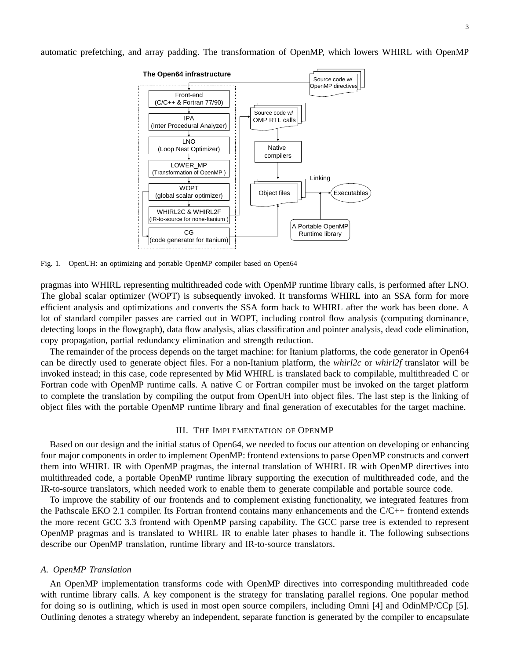automatic prefetching, and array padding. The transformation of OpenMP, which lowers WHIRL with OpenMP



Fig. 1. OpenUH: an optimizing and portable OpenMP compiler based on Open64

pragmas into WHIRL representing multithreaded code with OpenMP runtime library calls, is performed after LNO. The global scalar optimizer (WOPT) is subsequently invoked. It transforms WHIRL into an SSA form for more efficient analysis and optimizations and converts the SSA form back to WHIRL after the work has been done. A lot of standard compiler passes are carried out in WOPT, including control flow analysis (computing dominance, detecting loops in the flowgraph), data flow analysis, alias classification and pointer analysis, dead code elimination, copy propagation, partial redundancy elimination and strength reduction.

The remainder of the process depends on the target machine: for Itanium platforms, the code generator in Open64 can be directly used to generate object files. For a non-Itanium platform, the *whirl2c* or *whirl2f* translator will be invoked instead; in this case, code represented by Mid WHIRL is translated back to compilable, multithreaded C or Fortran code with OpenMP runtime calls. A native C or Fortran compiler must be invoked on the target platform to complete the translation by compiling the output from OpenUH into object files. The last step is the linking of object files with the portable OpenMP runtime library and final generation of executables for the target machine.

#### III. THE IMPLEMENTATION OF OPENMP

Based on our design and the initial status of Open64, we needed to focus our attention on developing or enhancing four major components in order to implement OpenMP: frontend extensions to parse OpenMP constructs and convert them into WHIRL IR with OpenMP pragmas, the internal translation of WHIRL IR with OpenMP directives into multithreaded code, a portable OpenMP runtime library supporting the execution of multithreaded code, and the IR-to-source translators, which needed work to enable them to generate compilable and portable source code.

To improve the stability of our frontends and to complement existing functionality, we integrated features from the Pathscale EKO 2.1 compiler. Its Fortran frontend contains many enhancements and the C/C++ frontend extends the more recent GCC 3.3 frontend with OpenMP parsing capability. The GCC parse tree is extended to represent OpenMP pragmas and is translated to WHIRL IR to enable later phases to handle it. The following subsections describe our OpenMP translation, runtime library and IR-to-source translators.

#### *A. OpenMP Translation*

An OpenMP implementation transforms code with OpenMP directives into corresponding multithreaded code with runtime library calls. A key component is the strategy for translating parallel regions. One popular method for doing so is outlining, which is used in most open source compilers, including Omni [4] and OdinMP/CCp [5]. Outlining denotes a strategy whereby an independent, separate function is generated by the compiler to encapsulate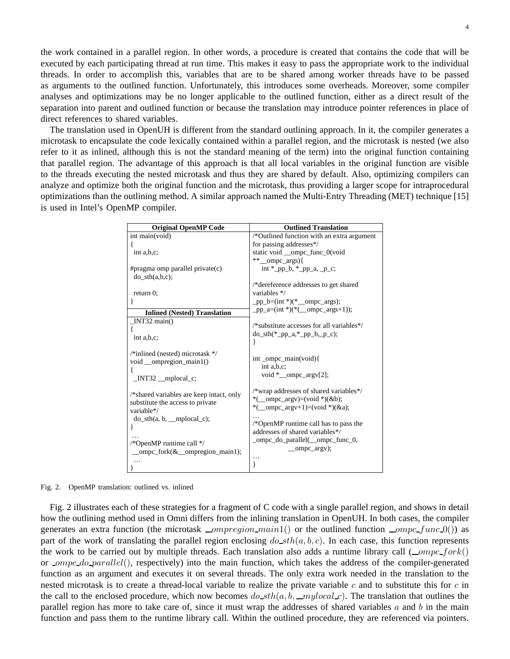the work contained in a parallel region. In other words, a procedure is created that contains the code that will be executed by each participating thread at run time. This makes it easy to pass the appropriate work to the individual threads. In order to accomplish this, variables that are to be shared among worker threads have to be passed as arguments to the outlined function. Unfortunately, this introduces some overheads. Moreover, some compiler analyses and optimizations may be no longer applicable to the outlined function, either as a direct result of the separation into parent and outlined function or because the translation may introduce pointer references in place of direct references to shared variables.

The translation used in OpenUH is different from the standard outlining approach. In it, the compiler generates a microtask to encapsulate the code lexically contained within a parallel region, and the microtask is nested (we also refer to it as inlined, although this is not the standard meaning of the term) into the original function containing that parallel region. The advantage of this approach is that all local variables in the original function are visible to the threads executing the nested microtask and thus they are shared by default. Also, optimizing compilers can analyze and optimize both the original function and the microtask, thus providing a larger scope for intraprocedural optimizations than the outlining method. A similar approach named the Multi-Entry Threading (MET) technique [15] is used in Intel's OpenMP compiler.

| <b>Original OpenMP Code</b>              | <b>Outlined Translation</b>                                                          |
|------------------------------------------|--------------------------------------------------------------------------------------|
| int main(void)                           | /*Outlined function with an extra argument                                           |
|                                          | for passing addresses*/                                                              |
| int a,b,c;                               | static void _ompc_func_0(void                                                        |
|                                          | ** ompc args){                                                                       |
| #pragma omp parallel private $(c)$       | $int *_pp_b, *_pp_a, p_c;$                                                           |
| $\phi$ sth $(a,b,c)$ ;                   |                                                                                      |
|                                          | /*dereference addresses to get shared                                                |
| return $0$ ;                             | variables */                                                                         |
| ł                                        | $pp_b=(int*)(\text{mod} - \text{ompc} - \text{args});$                               |
| <b>Inlined (Nested) Translation</b>      | pp_a= $(int *)(*(-ompc_{args}+1));$                                                  |
| $INT32 \text{ main}()$                   |                                                                                      |
|                                          | $/*$ substitute accesses for all variables */                                        |
| int a,b,c;                               | $dosth(*pp_a,*pp_b, p_c)$ ;                                                          |
|                                          | ł                                                                                    |
| $/*$ inlined (nested) microtask $*/$     |                                                                                      |
| void __ompregion_main1()                 | $int\_ompc\_main(void)$                                                              |
|                                          | int $a,b,c;$                                                                         |
| $INT32$ $\text{mplocal}_c$ ;             | void $*$ __ompc_argv[2];                                                             |
|                                          |                                                                                      |
| /*shared variables are keep intact, only | /*wrap addresses of shared variables*/                                               |
| substitute the access to private         | *(_ompc_argv)=(void *)(&b);                                                          |
| variable*/                               | *(_ompc_argv+1)=(void *)(&a);                                                        |
| $dosth(a, b, mplocal_c);$                |                                                                                      |
| ł                                        | $\sqrt{\ast}$ OpenMP runtime call has to pass the<br>addresses of shared variables*/ |
|                                          |                                                                                      |
| /*OpenMP runtime call */                 | _ompc_do_parallel(_ompc_func_0,                                                      |
| _ompc_fork $(\&$ ompregion main1);       | _ompc_argv);                                                                         |
|                                          | .                                                                                    |
|                                          | ∤                                                                                    |

Fig. 2. OpenMP translation: outlined vs. inlined

Fig. 2 illustrates each of these strategies for a fragment of C code with a single parallel region, and shows in detail how the outlining method used in Omni differs from the inlining translation in OpenUH. In both cases, the compiler generates an extra function (the microtask  $\equiv$ *ompregion* main1() or the outlined function  $\equiv$ *ompc* func 0()) as part of the work of translating the parallel region enclosing  $do<sub>sth</sub>(a, b, c)$ . In each case, this function represents the work to be carried out by multiple threads. Each translation also adds a runtime library call  $(\_omp_c$ or *ompc\_do\_parallel()*, respectively) into the main function, which takes the address of the compiler-generated function as an argument and executes it on several threads. The only extra work needed in the translation to the nested microtask is to create a thread-local variable to realize the private variable  $c$  and to substitute this for  $c$  in the call to the enclosed procedure, which now becomes  $do\_sth(a, b, \_mylocal.c)$ . The translation that outlines the parallel region has more to take care of, since it must wrap the addresses of shared variables  $a$  and  $b$  in the main function and pass them to the runtime library call. Within the outlined procedure, they are referenced via pointers.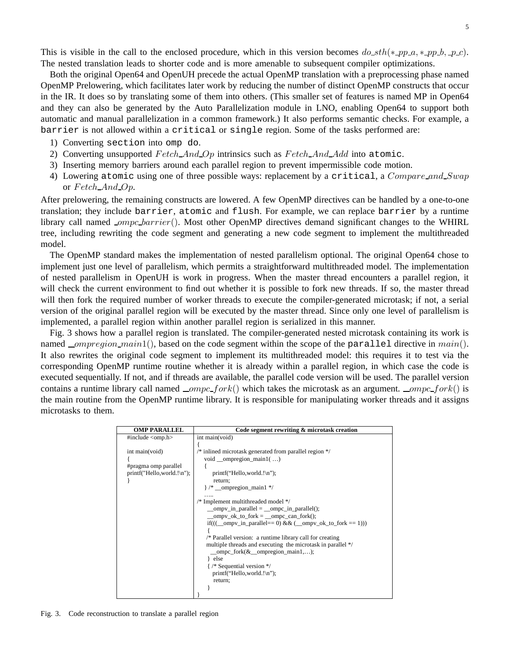This is visible in the call to the enclosed procedure, which in this version becomes  $d_0$  sth(\* pp a, \* pp b, p c). The nested translation leads to shorter code and is more amenable to subsequent compiler optimizations.

Both the original Open64 and OpenUH precede the actual OpenMP translation with a preprocessing phase named OpenMP Prelowering, which facilitates later work by reducing the number of distinct OpenMP constructs that occur in the IR. It does so by translating some of them into others. (This smaller set of features is named MP in Open64 and they can also be generated by the Auto Parallelization module in LNO, enabling Open64 to support both automatic and manual parallelization in a common framework.) It also performs semantic checks. For example, a barrier is not allowed within a critical or single region. Some of the tasks performed are:

- 1) Converting section into omp do.
- 2) Converting unsupported  $Fetch\_And\_Op$  intrinsics such as  $Fetch\_And\_Add$  into atomic.
- 3) Inserting memory barriers around each parallel region to prevent impermissible code motion.
- 4) Lowering atomic using one of three possible ways: replacement by a critical, a *Compare and Swap* or Fetch\_And\_Op.

After prelowering, the remaining constructs are lowered. A few OpenMP directives can be handled by a one-to-one translation; they include barrier, atomic and flush. For example, we can replace barrier by a runtime library call named  $_{\text{compc} \rightarrow \text{barrier}}()$ . Most other OpenMP directives demand significant changes to the WHIRL tree, including rewriting the code segment and generating a new code segment to implement the multithreaded model.

The OpenMP standard makes the implementation of nested parallelism optional. The original Open64 chose to implement just one level of parallelism, which permits a straightforward multithreaded model. The implementation of nested parallelism in OpenUH is work in progress. When the master thread encounters a parallel region, it will check the current environment to find out whether it is possible to fork new threads. If so, the master thread will then fork the required number of worker threads to execute the compiler-generated microtask; if not, a serial version of the original parallel region will be executed by the master thread. Since only one level of parallelism is implemented, a parallel region within another parallel region is serialized in this manner.

Fig. 3 shows how a parallel region is translated. The compiler-generated nested microtask containing its work is named \_ompregion\_main1(), based on the code segment within the scope of the parallel directive in main(). It also rewrites the original code segment to implement its multithreaded model: this requires it to test via the corresponding OpenMP runtime routine whether it is already within a parallel region, in which case the code is executed sequentially. If not, and if threads are available, the parallel code version will be used. The parallel version contains a runtime library call named  $\_ompc\_fork()$  which takes the microtask as an argument.  $\_omp c\_fork()$  is the main routine from the OpenMP runtime library. It is responsible for manipulating worker threads and it assigns microtasks to them.

| <b>OMP PARALLEL</b>                                                  | Code segment rewriting & microtask creation                                                                                                                                                                                                                                                                                                                                                                           |
|----------------------------------------------------------------------|-----------------------------------------------------------------------------------------------------------------------------------------------------------------------------------------------------------------------------------------------------------------------------------------------------------------------------------------------------------------------------------------------------------------------|
| #include <omp.h></omp.h>                                             | int main(void)                                                                                                                                                                                                                                                                                                                                                                                                        |
| int main(void)<br>#pragma omp parallel<br>printf("Hello,world.!\n"); | $\frac{*}{*}$ inlined microtask generated from parallel region $\frac{*}{*}$<br>void __ompregion_main1 $(\ldots)$<br>printf("Hello, world.!\n");<br>return;<br>}/* __ompregion_main1 */<br>/* Implement multithreaded model */<br>__ompv_in_parallel = $\text{__ompc_in__parallel}($ ;<br>_ompv_ok_to_fork = _ompc_can_fork();<br>if((( $\text{empty}_i$ in _parallel = 0) & & ( $\text{empty}_i$ ok _to _fork = 1))) |
|                                                                      | /* Parallel version: a runtime library call for creating<br>multiple threads and executing the microtask in parallel */<br>_ompc_fork $(\&$ _ompregion_main1,);<br>} else<br>{/* Sequential version */<br>printf("Hello, world.!\n");<br>return;                                                                                                                                                                      |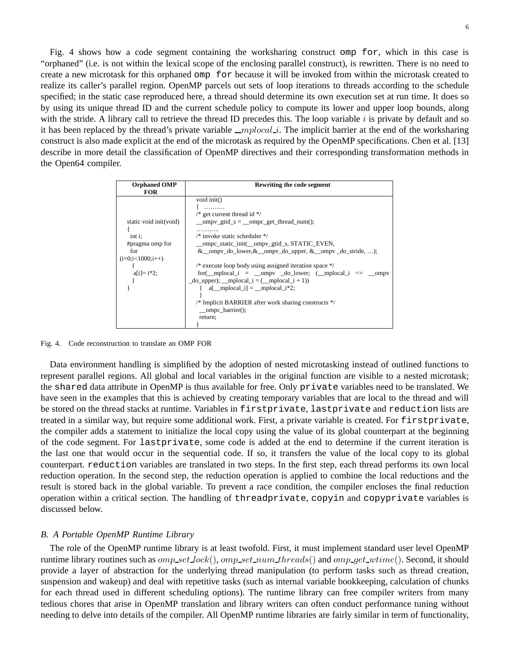Fig. 4 shows how a code segment containing the worksharing construct omp for, which in this case is "orphaned" (i.e. is not within the lexical scope of the enclosing parallel construct), is rewritten. There is no need to create a new microtask for this orphaned omp for because it will be invoked from within the microtask created to realize its caller's parallel region. OpenMP parcels out sets of loop iterations to threads according to the schedule specified; in the static case reproduced here, a thread should determine its own execution set at run time. It does so by using its unique thread ID and the current schedule policy to compute its lower and upper loop bounds, along with the stride. A library call to retrieve the thread ID precedes this. The loop variable  $i$  is private by default and so it has been replaced by the thread's private variable  $\text{\textendash}$   $\text{\textendash}$ . The implicit barrier at the end of the worksharing construct is also made explicit at the end of the microtask as required by the OpenMP specifications. Chen et al. [13] describe in more detail the classification of OpenMP directives and their corresponding transformation methods in the Open64 compiler.

| <b>Orphaned OMP</b>    | Rewriting the code segment                                                                                                            |
|------------------------|---------------------------------------------------------------------------------------------------------------------------------------|
| <b>FOR</b>             |                                                                                                                                       |
|                        | void init()                                                                                                                           |
|                        |                                                                                                                                       |
|                        | /* get current thread id $*/$                                                                                                         |
| static void init(void) | __ompv_gtid_s = __ompc_get_thread_num();                                                                                              |
|                        | .                                                                                                                                     |
| $int i$ ;              | $/*$ invoke static scheduler $*/$                                                                                                     |
| #pragma omp for        | __ompc_static_init(__ompv_gtid_s, STATIC_EVEN,                                                                                        |
| for                    | $& \text{ompv}_d \text{o}_d \text{lower}, & \text{ompv}_d \text{o}_d \text{upper}, & \text{ompv}_d \text{o}_s \text{tride}, \ldots);$ |
| $(i=0; i<1000; i++)$   |                                                                                                                                       |
|                        | $/*$ execute loop body using assigned iteration space $*/$                                                                            |
| $a[i]=i*2;$            | $for (\_$ rplocal_i = $\_$ ompv $_d$ o_lower; ( $\_$ mplocal_i <= $\_$ ompv                                                           |
|                        | $\text{do\_upper}$ ; __mplocal_i = (__mplocal_i + 1))                                                                                 |
|                        | $\{$ a[ mplocal i] = mplocal i*2;                                                                                                     |
|                        |                                                                                                                                       |
|                        | /* Implicit BARRIER after work sharing constructs */                                                                                  |
|                        | $\text{—ompc\_barrier}$ :                                                                                                             |
|                        | return;                                                                                                                               |
|                        |                                                                                                                                       |

Fig. 4. Code reconstruction to translate an OMP FOR

Data environment handling is simplified by the adoption of nested microtasking instead of outlined functions to represent parallel regions. All global and local variables in the original function are visible to a nested microtask; the shared data attribute in OpenMP is thus available for free. Only private variables need to be translated. We have seen in the examples that this is achieved by creating temporary variables that are local to the thread and will be stored on the thread stacks at runtime. Variables in firstprivate, lastprivate and reduction lists are treated in a similar way, but require some additional work. First, a private variable is created. For firstprivate, the compiler adds a statement to initialize the local copy using the value of its global counterpart at the beginning of the code segment. For lastprivate, some code is added at the end to determine if the current iteration is the last one that would occur in the sequential code. If so, it transfers the value of the local copy to its global counterpart. reduction variables are translated in two steps. In the first step, each thread performs its own local reduction operation. In the second step, the reduction operation is applied to combine the local reductions and the result is stored back in the global variable. To prevent a race condition, the compiler encloses the final reduction operation within a critical section. The handling of threadprivate, copyin and copyprivate variables is discussed below.

#### *B. A Portable OpenMP Runtime Library*

The role of the OpenMP runtime library is at least twofold. First, it must implement standard user level OpenMP runtime library routines such as  $omp\_set\_lock($ ,  $omp\_set\_num\_threads()$  and  $omp\_get\_wtime()$ . Second, it should provide a layer of abstraction for the underlying thread manipulation (to perform tasks such as thread creation, suspension and wakeup) and deal with repetitive tasks (such as internal variable bookkeeping, calculation of chunks for each thread used in different scheduling options). The runtime library can free compiler writers from many tedious chores that arise in OpenMP translation and library writers can often conduct performance tuning without needing to delve into details of the compiler. All OpenMP runtime libraries are fairly similar in term of functionality,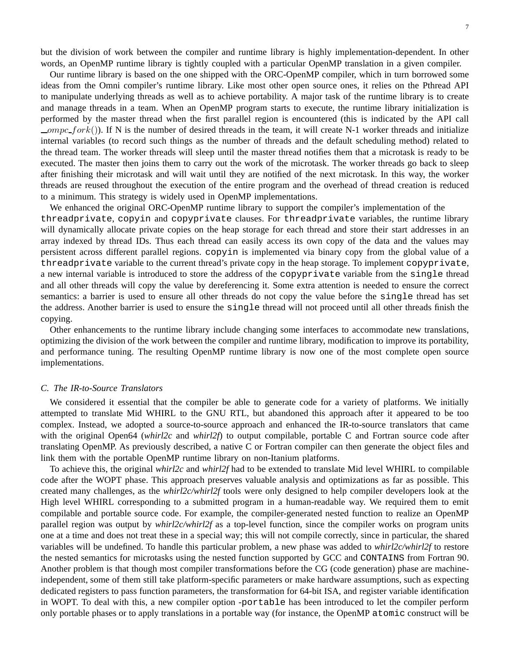but the division of work between the compiler and runtime library is highly implementation-dependent. In other words, an OpenMP runtime library is tightly coupled with a particular OpenMP translation in a given compiler.

Our runtime library is based on the one shipped with the ORC-OpenMP compiler, which in turn borrowed some ideas from the Omni compiler's runtime library. Like most other open source ones, it relies on the Pthread API to manipulate underlying threads as well as to achieve portability. A major task of the runtime library is to create and manage threads in a team. When an OpenMP program starts to execute, the runtime library initialization is performed by the master thread when the first parallel region is encountered (this is indicated by the API call  $\_ompc\_fork()$ ). If N is the number of desired threads in the team, it will create N-1 worker threads and initialize internal variables (to record such things as the number of threads and the default scheduling method) related to the thread team. The worker threads will sleep until the master thread notifies them that a microtask is ready to be executed. The master then joins them to carry out the work of the microtask. The worker threads go back to sleep after finishing their microtask and will wait until they are notified of the next microtask. In this way, the worker threads are reused throughout the execution of the entire program and the overhead of thread creation is reduced to a minimum. This strategy is widely used in OpenMP implementations.

We enhanced the original ORC-OpenMP runtime library to support the compiler's implementation of the threadprivate, copyin and copyprivate clauses. For threadprivate variables, the runtime library will dynamically allocate private copies on the heap storage for each thread and store their start addresses in an array indexed by thread IDs. Thus each thread can easily access its own copy of the data and the values may persistent across different parallel regions. copyin is implemented via binary copy from the global value of a threadprivate variable to the current thread's private copy in the heap storage. To implement copyprivate, a new internal variable is introduced to store the address of the copyprivate variable from the single thread and all other threads will copy the value by dereferencing it. Some extra attention is needed to ensure the correct semantics: a barrier is used to ensure all other threads do not copy the value before the single thread has set the address. Another barrier is used to ensure the single thread will not proceed until all other threads finish the copying.

Other enhancements to the runtime library include changing some interfaces to accommodate new translations, optimizing the division of the work between the compiler and runtime library, modification to improve its portability, and performance tuning. The resulting OpenMP runtime library is now one of the most complete open source implementations.

#### *C. The IR-to-Source Translators*

We considered it essential that the compiler be able to generate code for a variety of platforms. We initially attempted to translate Mid WHIRL to the GNU RTL, but abandoned this approach after it appeared to be too complex. Instead, we adopted a source-to-source approach and enhanced the IR-to-source translators that came with the original Open64 (*whirl2c* and *whirl2f*) to output compilable, portable C and Fortran source code after translating OpenMP. As previously described, a native C or Fortran compiler can then generate the object files and link them with the portable OpenMP runtime library on non-Itanium platforms.

To achieve this, the original *whirl2c* and *whirl2f* had to be extended to translate Mid level WHIRL to compilable code after the WOPT phase. This approach preserves valuable analysis and optimizations as far as possible. This created many challenges, as the *whirl2c/whirl2f* tools were only designed to help compiler developers look at the High level WHIRL corresponding to a submitted program in a human-readable way. We required them to emit compilable and portable source code. For example, the compiler-generated nested function to realize an OpenMP parallel region was output by *whirl2c/whirl2f* as a top-level function, since the compiler works on program units one at a time and does not treat these in a special way; this will not compile correctly, since in particular, the shared variables will be undefined. To handle this particular problem, a new phase was added to *whirl2c/whirl2f* to restore the nested semantics for microtasks using the nested function supported by GCC and CONTAINS from Fortran 90. Another problem is that though most compiler transformations before the CG (code generation) phase are machineindependent, some of them still take platform-specific parameters or make hardware assumptions, such as expecting dedicated registers to pass function parameters, the transformation for 64-bit ISA, and register variable identification in WOPT. To deal with this, a new compiler option -portable has been introduced to let the compiler perform only portable phases or to apply translations in a portable way (for instance, the OpenMP atomic construct will be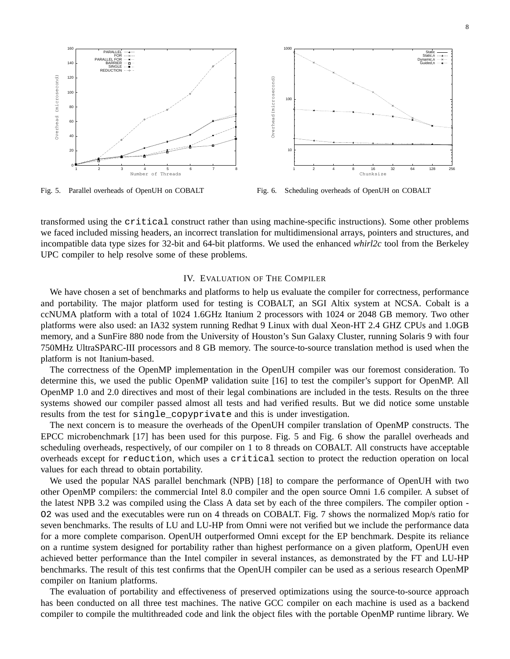

Fig. 5. Parallel overheads of OpenUH on COBALT

Fig. 6. Scheduling overheads of OpenUH on COBALT

transformed using the critical construct rather than using machine-specific instructions). Some other problems we faced included missing headers, an incorrect translation for multidimensional arrays, pointers and structures, and incompatible data type sizes for 32-bit and 64-bit platforms. We used the enhanced *whirl2c* tool from the Berkeley UPC compiler to help resolve some of these problems.

#### IV. EVALUATION OF THE COMPILER

We have chosen a set of benchmarks and platforms to help us evaluate the compiler for correctness, performance and portability. The major platform used for testing is COBALT, an SGI Altix system at NCSA. Cobalt is a ccNUMA platform with a total of 1024 1.6GHz Itanium 2 processors with 1024 or 2048 GB memory. Two other platforms were also used: an IA32 system running Redhat 9 Linux with dual Xeon-HT 2.4 GHZ CPUs and 1.0GB memory, and a SunFire 880 node from the University of Houston's Sun Galaxy Cluster, running Solaris 9 with four 750MHz UltraSPARC-III processors and 8 GB memory. The source-to-source translation method is used when the platform is not Itanium-based.

The correctness of the OpenMP implementation in the OpenUH compiler was our foremost consideration. To determine this, we used the public OpenMP validation suite [16] to test the compiler's support for OpenMP. All OpenMP 1.0 and 2.0 directives and most of their legal combinations are included in the tests. Results on the three systems showed our compiler passed almost all tests and had verified results. But we did notice some unstable results from the test for single\_copyprivate and this is under investigation.

The next concern is to measure the overheads of the OpenUH compiler translation of OpenMP constructs. The EPCC microbenchmark [17] has been used for this purpose. Fig. 5 and Fig. 6 show the parallel overheads and scheduling overheads, respectively, of our compiler on 1 to 8 threads on COBALT. All constructs have acceptable overheads except for reduction, which uses a critical section to protect the reduction operation on local values for each thread to obtain portability.

We used the popular NAS parallel benchmark (NPB) [18] to compare the performance of OpenUH with two other OpenMP compilers: the commercial Intel 8.0 compiler and the open source Omni 1.6 compiler. A subset of the latest NPB 3.2 was compiled using the Class A data set by each of the three compilers. The compiler option - O2 was used and the executables were run on 4 threads on COBALT. Fig. 7 shows the normalized Mop/s ratio for seven benchmarks. The results of LU and LU-HP from Omni were not verified but we include the performance data for a more complete comparison. OpenUH outperformed Omni except for the EP benchmark. Despite its reliance on a runtime system designed for portability rather than highest performance on a given platform, OpenUH even achieved better performance than the Intel compiler in several instances, as demonstrated by the FT and LU-HP benchmarks. The result of this test confirms that the OpenUH compiler can be used as a serious research OpenMP compiler on Itanium platforms.

The evaluation of portability and effectiveness of preserved optimizations using the source-to-source approach has been conducted on all three test machines. The native GCC compiler on each machine is used as a backend compiler to compile the multithreaded code and link the object files with the portable OpenMP runtime library. We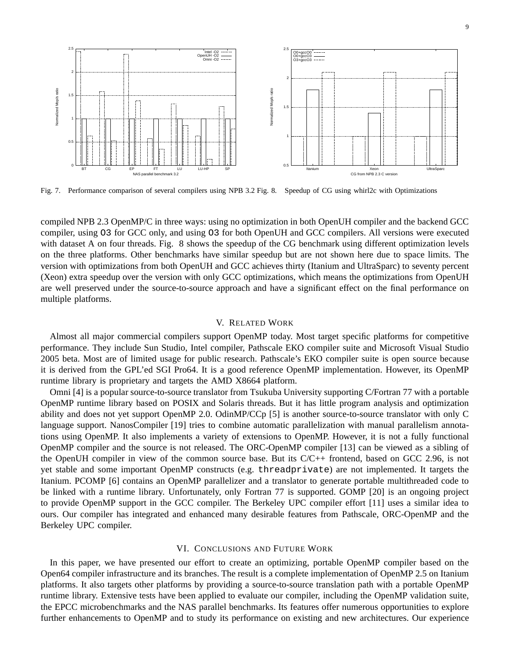

Fig. 7. Performance comparison of several compilers using NPB 3.2 Fig. 8. Speedup of CG using whirl2c with Optimizations

compiled NPB 2.3 OpenMP/C in three ways: using no optimization in both OpenUH compiler and the backend GCC compiler, using O3 for GCC only, and using O3 for both OpenUH and GCC compilers. All versions were executed with dataset A on four threads. Fig. 8 shows the speedup of the CG benchmark using different optimization levels on the three platforms. Other benchmarks have similar speedup but are not shown here due to space limits. The version with optimizations from both OpenUH and GCC achieves thirty (Itanium and UltraSparc) to seventy percent (Xeon) extra speedup over the version with only GCC optimizations, which means the optimizations from OpenUH are well preserved under the source-to-source approach and have a significant effect on the final performance on multiple platforms.

#### V. RELATED WORK

Almost all major commercial compilers support OpenMP today. Most target specific platforms for competitive performance. They include Sun Studio, Intel compiler, Pathscale EKO compiler suite and Microsoft Visual Studio 2005 beta. Most are of limited usage for public research. Pathscale's EKO compiler suite is open source because it is derived from the GPL'ed SGI Pro64. It is a good reference OpenMP implementation. However, its OpenMP runtime library is proprietary and targets the AMD X8664 platform.

Omni [4] is a popular source-to-source translator from Tsukuba University supporting C/Fortran 77 with a portable OpenMP runtime library based on POSIX and Solaris threads. But it has little program analysis and optimization ability and does not yet support OpenMP 2.0. OdinMP/CCp [5] is another source-to-source translator with only C language support. NanosCompiler [19] tries to combine automatic parallelization with manual parallelism annotations using OpenMP. It also implements a variety of extensions to OpenMP. However, it is not a fully functional OpenMP compiler and the source is not released. The ORC-OpenMP compiler [13] can be viewed as a sibling of the OpenUH compiler in view of the common source base. But its C/C++ frontend, based on GCC 2.96, is not yet stable and some important OpenMP constructs (e.g. threadprivate) are not implemented. It targets the Itanium. PCOMP [6] contains an OpenMP parallelizer and a translator to generate portable multithreaded code to be linked with a runtime library. Unfortunately, only Fortran 77 is supported. GOMP [20] is an ongoing project to provide OpenMP support in the GCC compiler. The Berkeley UPC compiler effort [11] uses a similar idea to ours. Our compiler has integrated and enhanced many desirable features from Pathscale, ORC-OpenMP and the Berkeley UPC compiler.

#### VI. CONCLUSIONS AND FUTURE WORK

In this paper, we have presented our effort to create an optimizing, portable OpenMP compiler based on the Open64 compiler infrastructure and its branches. The result is a complete implementation of OpenMP 2.5 on Itanium platforms. It also targets other platforms by providing a source-to-source translation path with a portable OpenMP runtime library. Extensive tests have been applied to evaluate our compiler, including the OpenMP validation suite, the EPCC microbenchmarks and the NAS parallel benchmarks. Its features offer numerous opportunities to explore further enhancements to OpenMP and to study its performance on existing and new architectures. Our experience